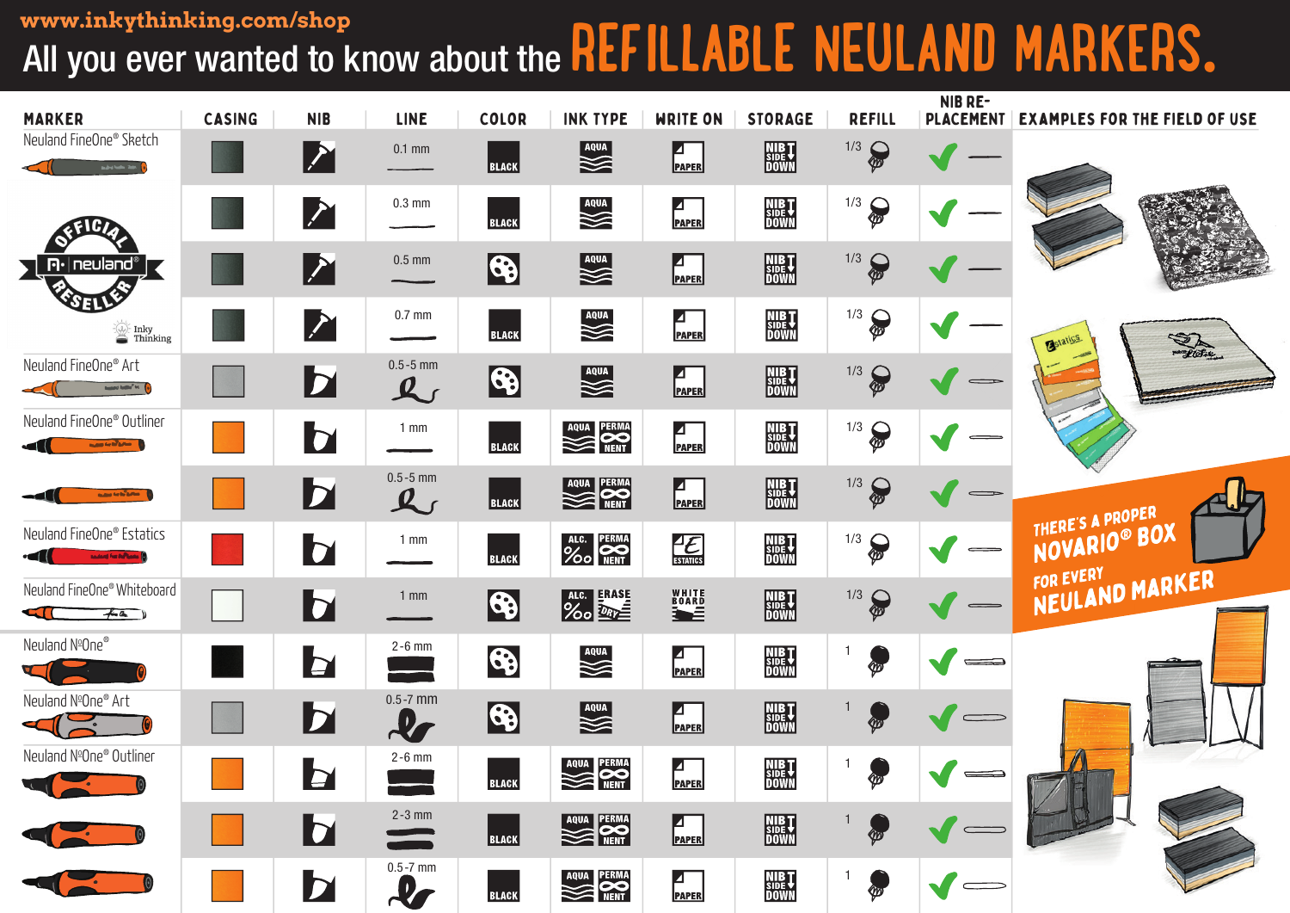## All you ever wanted to know about the **REFILLABLE NEULAND MARKERS. www.inkythinking.com/shop**

| <b>MARKER</b>                                                                                                                                                                                                                                                                 | <b>CASING</b> | <b>NIB</b>              | <b>LINE</b>                   | <b>COLOR</b> | <b>INK TYPE</b>        | <b>WRITE ON</b>                         | <b>STORAGE</b>                        | <b>REFILL</b>                                                                                                                                                                                                                                                                                                                                                                                                                                                                                             | NIB RE-<br><b>PLACEMENT</b>     | <b>EXAMPLES FOR THE FIELD OF USE</b> |
|-------------------------------------------------------------------------------------------------------------------------------------------------------------------------------------------------------------------------------------------------------------------------------|---------------|-------------------------|-------------------------------|--------------|------------------------|-----------------------------------------|---------------------------------------|-----------------------------------------------------------------------------------------------------------------------------------------------------------------------------------------------------------------------------------------------------------------------------------------------------------------------------------------------------------------------------------------------------------------------------------------------------------------------------------------------------------|---------------------------------|--------------------------------------|
| Neuland FineOne® Sketch<br><b>Buded Call State</b>                                                                                                                                                                                                                            |               | $ \boldsymbol{\Sigma} $ | $0.1$ mm                      | <b>BLACK</b> | AQUA                   | $\blacksquare$<br><b>PAPER</b>          | <b>NIBT</b><br>BURY<br>DOWN           | 1/3<br>$\partial \hspace{-1.25cm} \partial \hspace{-1.25cm} \partial \hspace{-1.25cm} \partial \hspace{-1.25cm} \partial \hspace{-1.25cm} \partial \hspace{-1.25cm} \partial \hspace{-1.25cm} \partial \hspace{-1.25cm} \partial \hspace{-1.25cm} \partial \hspace{-1.25cm} \partial \hspace{-1.25cm} \partial \hspace{-1.25cm} \partial \hspace{-1.25cm} \partial \hspace{-1.25cm} \partial \hspace{-1.25cm} \partial \hspace{-1.25cm} \partial \hspace{-1.25cm} \partial \hspace{-1.25cm} \partial \hs$ |                                 |                                      |
|                                                                                                                                                                                                                                                                               |               | M                       | $0.3 \text{ mm}$              | <b>BLACK</b> | AQUA                   | Ø<br><b>PAPER</b>                       | <b>NIBT</b><br>SIDE<br>DOWN           | $\frac{1}{3}$                                                                                                                                                                                                                                                                                                                                                                                                                                                                                             |                                 |                                      |
| $\mathsf{P}\cdot\mid$ neuland $^\circ$ $\overline{\phantom{a}}$                                                                                                                                                                                                               |               | $\boldsymbol{\Sigma}$   | $0.5$ mm                      | \$           | AQUA                   | $\blacksquare$<br>PAPER                 | NIB <sub>SIDE</sub><br>DOWN           | 1/3<br>$\partial$                                                                                                                                                                                                                                                                                                                                                                                                                                                                                         |                                 |                                      |
| <b>VOET</b><br>$\mathbb{Z}$ Inky<br><b>Thinking</b>                                                                                                                                                                                                                           |               | $\sum_{i=1}^{n}$        | $0.7$ mm                      | <b>BLACK</b> | AQUA                   | ◪<br><b>PAPER</b>                       | NIB <sub>T</sub><br>SIDE<br>DOWN      | $\frac{1}{3}$                                                                                                                                                                                                                                                                                                                                                                                                                                                                                             |                                 | Pudse<br>Bstatics                    |
| Neuland FineOne® Art<br><b><i>Registered Andrew Co.</i></b>                                                                                                                                                                                                                   |               | $\overline{\mathbf{z}}$ | $0.5 - 5$ mm<br>$\mathcal{L}$ | $\bigcirc$   |                        | $\blacksquare$<br>PAPER                 | <b>NIBT</b><br><b>SIDET</b><br>DOWN   | 1/3<br>$\partial$                                                                                                                                                                                                                                                                                                                                                                                                                                                                                         |                                 |                                      |
| Neuland FineOne® Outliner<br><b><i><u>Bally Schillers In the Schillers In the Schillers In the Schillers In the Schillers In the Schillers In the Schillers In the Schillers In the Schillers In the Schillers In the Schillers In the Schillers In the Schillers</u></i></b> |               | <b>b</b>                | $1 \text{ mm}$                | <b>BLACK</b> | AQUA PERMA             | $\blacksquare$<br><b>PAPER</b>          | <b>NIBT</b><br>SIDE <b>T</b><br>DOWN  | 1/3<br>$\partial \hspace{-1.25cm} \partial \hspace{-1.25cm} \partial \hspace{-1.25cm} \partial \hspace{-1.25cm} \partial \hspace{-1.25cm} \partial \hspace{-1.25cm} \partial \hspace{-1.25cm} \partial \hspace{-1.25cm} \partial \hspace{-1.25cm} \partial \hspace{-1.25cm} \partial \hspace{-1.25cm} \partial \hspace{-1.25cm} \partial \hspace{-1.25cm} \partial \hspace{-1.25cm} \partial \hspace{-1.25cm} \partial \hspace{-1.25cm} \partial \hspace{-1.25cm} \partial \hspace{-1.25cm} \partial \hs$ |                                 |                                      |
| <b>NAME OF STRANG</b>                                                                                                                                                                                                                                                         |               | $\mathbf{b}$            | $0.5 - 5$ mm<br>$\mathcal{L}$ | <b>BLACK</b> | AQUA PERMA             | $\left  \frac{1}{\text{PAPER}} \right $ | <b>NIBT</b><br>BURY<br>DOWN           | 1/3<br>$\partial \hspace{-1.25cm} \partial \hspace{-1.25cm} \partial \hspace{-1.25cm} \partial \hspace{-1.25cm} \partial \hspace{-1.25cm} \partial \hspace{-1.25cm} \partial \hspace{-1.25cm} \partial \hspace{-1.25cm} \partial \hspace{-1.25cm} \partial \hspace{-1.25cm} \partial \hspace{-1.25cm} \partial \hspace{-1.25cm} \partial \hspace{-1.25cm} \partial \hspace{-1.25cm} \partial \hspace{-1.25cm} \partial \hspace{-1.25cm} \partial \hspace{-1.25cm} \partial \hspace{-1.25cm} \partial \hs$ | $\implies$                      |                                      |
| Neuland FineOne® Estatics<br><b>Index For Advance (</b>                                                                                                                                                                                                                       |               | b                       | $1 \text{ mm}$                | <b>BLACK</b> | ALC. PERMA<br>YOO NENT | $\frac{4}{\sqrt{2}}$                    | NIB <sub>U</sub><br>SIDE T<br>DOWN    | $\frac{1}{3}$                                                                                                                                                                                                                                                                                                                                                                                                                                                                                             | $\hspace{.1in}$ $\hspace{.1in}$ | THERE'S A PROPER<br>NOVARIO® BOX     |
| Neuland FineOne® Whiteboard<br><b>ETT</b><br>f(a)                                                                                                                                                                                                                             |               | <b>d</b>                | $1 \text{ mm}$                | \$           | ALC. ERASE             | WHITE<br>BOARD                          | <b>NIBT</b><br>SIDE<br>DOWN           | 1/3<br>$\partial \mathcal{E}$                                                                                                                                                                                                                                                                                                                                                                                                                                                                             |                                 | NEULAND MARKER                       |
| Neuland NºOne®                                                                                                                                                                                                                                                                |               | <b>b</b>                | $2-6$ mm                      | \$           | AQUA                   | $\blacksquare$<br><b>PAPER</b>          | NIB <sub>SIDE</sub><br>DOWN           | .<br>W                                                                                                                                                                                                                                                                                                                                                                                                                                                                                                    |                                 |                                      |
| Neuland NºOne® Art                                                                                                                                                                                                                                                            |               | $\mathbf{b}$            | $0.5 - 7$ mm<br>$\mathcal{X}$ | $\bigcirc$   | AQUA                   | $\blacksquare$<br>PAPER                 | <b>NIBT</b><br>SIDET<br>DOWN          | ∕‴                                                                                                                                                                                                                                                                                                                                                                                                                                                                                                        | $\qquad \qquad \qquad =\qquad$  |                                      |
| Neuland NºOne® Outliner<br><u>rota de la propia de la partidad de la partidad de la partidad de la partidad de la partidad de la partidad d</u>                                                                                                                               |               | $\mathbf b$             | $2-6$ mm                      | <b>BLACK</b> | AQUA PERMA             | $\blacksquare$<br><b>PAPER</b>          | NIB <sub>SIDE</sub> T<br><u>UUWIN</u> |                                                                                                                                                                                                                                                                                                                                                                                                                                                                                                           |                                 |                                      |
|                                                                                                                                                                                                                                                                               |               | $\mathbf b$             | $2-3$ mm<br>$\equiv$          | <b>BLACK</b> | AQUA PERMA             | $\blacksquare$<br>PAPER                 | <b>NIBT</b><br>SIDET<br>DOWN          |                                                                                                                                                                                                                                                                                                                                                                                                                                                                                                           |                                 |                                      |
|                                                                                                                                                                                                                                                                               |               | $\mathbf{b}$            | $0.5 - 7$ mm<br>$\mathcal{L}$ | <b>BLACK</b> | AQUA PERMA             | $\blacksquare$<br>PAPER                 | NIB <sub>T</sub><br>SIDE<br>DOWN      | $\bullet$                                                                                                                                                                                                                                                                                                                                                                                                                                                                                                 |                                 |                                      |